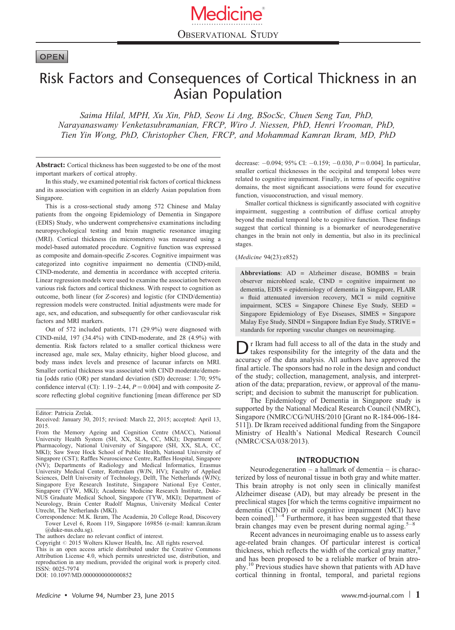# **OPEN**

# Risk Factors and Consequences of Cortical Thickness in an Asian Population

Saima Hilal, MPH, Xu Xin, PhD, Seow Li Ang, BSocSc, Chuen Seng Tan, PhD, Narayanaswamy Venketasubramanian, FRCP, Wiro J. Niessen, PhD, Henri Vrooman, PhD, Tien Yin Wong, PhD, Christopher Chen, FRCP, and Mohammad Kamran Ikram, MD, PhD

Abstract: Cortical thickness has been suggested to be one of the most important markers of cortical atrophy.

In this study, we examined potential risk factors of cortical thickness and its association with cognition in an elderly Asian population from Singapore.

This is a cross-sectional study among 572 Chinese and Malay patients from the ongoing Epidemiology of Dementia in Singapore (EDIS) Study, who underwent comprehensive examinations including neuropsychological testing and brain magnetic resonance imaging (MRI). Cortical thickness (in micrometers) was measured using a model-based automated procedure. Cognitive function was expressed as composite and domain-specific Z-scores. Cognitive impairment was categorized into cognitive impairment no dementia (CIND)-mild, CIND-moderate, and dementia in accordance with accepted criteria. Linear regression models were used to examine the association between various risk factors and cortical thickness. With respect to cognition as outcome, both linear (for Z-scores) and logistic (for CIND/dementia) regression models were constructed. Initial adjustments were made for age, sex, and education, and subsequently for other cardiovascular risk factors and MRI markers.

Out of 572 included patients, 171 (29.9%) were diagnosed with CIND-mild, 197 (34.4%) with CIND-moderate, and 28 (4.9%) with dementia. Risk factors related to a smaller cortical thickness were increased age, male sex, Malay ethnicity, higher blood glucose, and body mass index levels and presence of lacunar infarcts on MRI. Smaller cortical thickness was associated with CIND moderate/dementia [odds ratio (OR) per standard deviation (SD) decrease: 1.70; 95% confidence interval (CI):  $1.19-2.44$ ,  $P = 0.004$ ] and with composite Zscore reflecting global cognitive functioning [mean difference per SD

decrease:  $-0.094$ ; 95% CI:  $-0.159$ ;  $-0.030$ ,  $P = 0.004$ ]. In particular, smaller cortical thicknesses in the occipital and temporal lobes were related to cognitive impairment. Finally, in terms of specific cognitive domains, the most significant associations were found for executive function, visuoconstruction, and visual memory.

Smaller cortical thickness is significantly associated with cognitive impairment, suggesting a contribution of diffuse cortical atrophy beyond the medial temporal lobe to cognitive function. These findings suggest that cortical thinning is a biomarker of neurodegenerative changes in the brain not only in dementia, but also in its preclinical stages.

#### (Medicine 94(23):e852)

Abbreviations: AD = Alzheimer disease, BOMBS = brain observer microbleed scale, CIND = cognitive impairment no dementia, EDIS = epidemiology of dementia in Singapore, FLAIR = fluid attenuated inversion recovery, MCI = mild cognitive impairment, SCES = Singapore Chinese Eye Study, SEED = Singapore Epidemiology of Eye Diseases, SIMES = Singapore Malay Eye Study, SINDI = Singapore Indian Eye Study, STRIVE = standards for reporting vascular changes on neuroimaging.

 $\sum$  is Ikram had full access to all of the data in the study and the takes responsibility for the integrity of the data and the study and the study is the study of the data and the study is the study of the data and the accuracy of the data analysis. All authors have approved the final article. The sponsors had no role in the design and conduct of the study; collection, management, analysis, and interpretation of the data; preparation, review, or approval of the manuscript; and decision to submit the manuscript for publication.

The Epidemiology of Dementia in Singapore study is supported by the National Medical Research Council (NMRC), Singapore (NMRC/CG/NUHS/2010 [Grant no R-184-006-184- 511]). Dr Ikram received additional funding from the Singapore Ministry of Health's National Medical Research Council (NMRC/CSA/038/2013).

### INTRODUCTION

Neurodegeneration – a hallmark of dementia – is characterized by loss of neuronal tissue in both gray and white matter. This brain atrophy is not only seen in clinically manifest Alzheimer disease (AD), but may already be present in the preclinical stages [for which the terms cognitive impairment no dementia (CIND) or mild cognitive impairment (MCI) have been coined].<sup>[1–4](#page-6-0)</sup> Furthermore, it has been suggested that these brain changes may even be present during normal aging. $5-8$ 

Recent advances in neuroimaging enable us to assess early age-related brain changes. Of particular interest is cortical thickness, which reflects the width of the cortical gray matter, $\frac{5}{3}$ and has been proposed to be a reliable marker of brain atro-phy.<sup>[10](#page-6-0)</sup> Previous studies have shown that patients with AD have cortical thinning in frontal, temporal, and parietal regions

Editor: Patricia Zrelak.

Received: January 30, 2015; revised: March 22, 2015; accepted: April 13, 2015.

From the Memory Ageing and Cognition Centre (MACC), National University Health System (SH, XX, SLA, CC, MKI); Department of Pharmacology, National University of Singapore (SH, XX, SLA, CC, MKI); Saw Swee Hock School of Public Health, National University of Singapore (CST); Raffles Neuroscience Centre, Raffles Hospital, Singapore (NV); Departments of Radiology and Medical Informatics, Erasmus University Medical Center, Rotterdam (WJN, HV); Faculty of Applied Sciences, Delft University of Technology, Delft, The Netherlands (WJN); Singapore Eye Research Institute, Singapore National Eye Center, Singapore (TYW, MKI); Academic Medicine Research Institute, Duke-NUS Graduate Medical School, Singapore (TYW, MKI); Department of Neurology, Brain Center Rudolf Magnus, University Medical Center Utrecht, The Netherlands (MKI).

Correspondence: M.K. Ikram, The Academia, 20 College Road, Discovery Tower Level 6, Room 119, Singapore 169856 (e-mail: [kamran.ikram](mailto:kamran.ikram@duke-nus.edu.sg) [@duke-nus.edu.sg\)](mailto:kamran.ikram@duke-nus.edu.sg).

The authors declare no relevant conflict of interest.

Copyright © 2015 Wolters Kluwer Health, Inc. All rights reserved.

This is an open access article distributed under the Creative Commons Attribution License 4.0, which permits unrestricted use, distribution, and reproduction in any medium, provided the original work is properly cited. ISSN: 0025-7974

DOI: [10.1097/MD.0000000000000852](http://dx.doi.org/10.1097/MD.0000000000000852)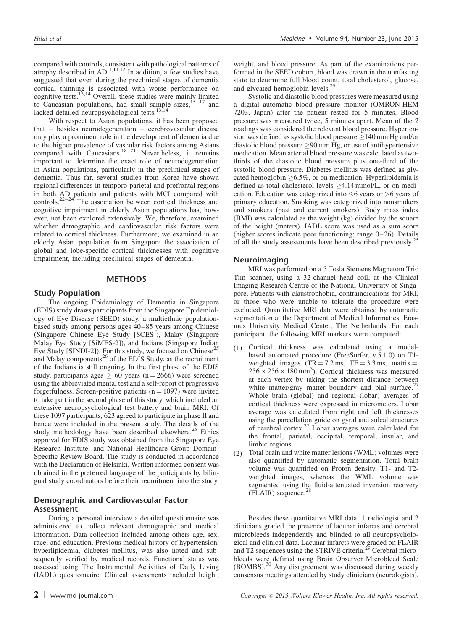compared with controls, consistent with pathological patterns of atrophy described in  $AD$ .<sup>[1,11,12](#page-6-0)</sup> In addition, a few studies have suggested that even during the preclinical stages of dementia cortical thinning is associated with worse performance on cognitive tests.<sup>[13,14](#page-6-0)</sup> Overall, these studies were mainly limited to Caucasian populations, had small sample sizes, $15-17$  and lacked detailed neuropsychological tests.[13,14](#page-6-0)

With respect to Asian populations, it has been proposed that – besides neurodegeneration – cerebrovascular disease may play a prominent role in the development of dementia due to the higher prevalence of vascular risk factors among Asians compared with Caucasians.<sup>[18–21](#page-7-0)</sup> Nevertheless, it remains important to determine the exact role of neurodegeneration in Asian populations, particularly in the preclinical stages of dementia. Thus far, several studies from Korea have shown regional differences in temporo-parietal and prefrontal regions in both AD patients and patients with MCI compared with controls. $22-24$  The association between cortical thickness and cognitive impairment in elderly Asian populations has, however, not been explored extensively. We, therefore, examined whether demographic and cardiovascular risk factors were related to cortical thickness. Furthermore, we examined in an elderly Asian population from Singapore the association of global and lobe-specific cortical thicknesses with cognitive impairment, including preclinical stages of dementia.

# METHODS

## Study Population

The ongoing Epidemiology of Dementia in Singapore (EDIS) study draws participants from the Singapore Epidemiology of Eye Disease (SEED) study, a multiethnic populationbased study among persons ages 40–85 years among Chinese (Singapore Chinese Eye Study [SCES]), Malay (Singapore Malay Eye Study [SiMES-2]), and Indians (Singapore Indian Eye Study [SINDI-2]). For this study, we focused on Chinese<sup>25</sup> and Malay components<sup>[26](#page-7-0)</sup> of the EDIS Study, as the recruitment of the Indians is still ongoing. In the first phase of the EDIS study, participants ages  $\geq 60$  years (n = 2666) were screened using the abbreviated mental test and a self-report of progressive forgetfulness. Screen-positive patients ( $n = 1097$ ) were invited to take part in the second phase of this study, which included an extensive neuropsychological test battery and brain MRI. Of these 1097 participants, 623 agreed to participate in phase II and hence were included in the present study. The details of the study methodology have been described elsewhere.<sup>[25](#page-7-0)</sup> Ethics approval for EDIS study was obtained from the Singapore Eye Research Institute, and National Healthcare Group Domain-Specific Review Board. The study is conducted in accordance with the Declaration of Helsinki. Written informed consent was obtained in the preferred language of the participants by bilingual study coordinators before their recruitment into the study.

# Demographic and Cardiovascular Factor Assessment

During a personal interview a detailed questionnaire was administered to collect relevant demographic and medical information. Data collection included among others age, sex, race, and education. Previous medical history of hypertension, hyperlipidemia, diabetes mellitus, was also noted and subsequently verified by medical records. Functional status was assessed using The Instrumental Activities of Daily Living (IADL) questionnaire. Clinical assessments included height,

weight, and blood pressure. As part of the examinations performed in the SEED cohort, blood was drawn in the nonfasting state to determine full blood count, total cholesterol, glucose, and glycated hemoglobin levels.<sup>[25](#page-7-0)</sup>

Systolic and diastolic blood pressures were measured using a digital automatic blood pressure monitor (OMRON-HEM 7203, Japan) after the patient rested for 5 minutes. Blood pressure was measured twice, 5 minutes apart. Mean of the 2 readings was considered the relevant blood pressure. Hypertension was defined as systolic blood pressure  $\geq$  140 mm Hg and/or diastolic blood pressure  $\geq$ 90 mm Hg, or use of antihypertensive medication. Mean arterial blood pressure was calculated as twothirds of the diastolic blood pressure plus one-third of the systolic blood pressure. Diabetes mellitus was defined as glycated hemoglobin  $>6.5\%$ , or on medication. Hyperlipidemia is defined as total cholesterol levels  $\geq$ 4.14 mmol/L, or on medication. Education was categorized into  $\leq 6$  years or  $> 6$  years of primary education. Smoking was categorized into nonsmokers and smokers (past and current smokers). Body mass index (BMI) was calculated as the weight (kg) divided by the square of the height (meters). IADL score was used as a sum score (higher scores indicate poor functioning; range 0–26). Details of all the study assessments have been described previously.<sup>[25](#page-7-0)</sup>

# Neuroimaging

MRI was performed on a 3 Tesla Siemens Magnetom Trio Tim scanner, using a 32-channel head coil, at the Clinical Imaging Research Centre of the National University of Singapore. Patients with claustrophobia, contraindications for MRI, or those who were unable to tolerate the procedure were excluded. Quantitative MRI data were obtained by automatic segmentation at the Department of Medical Informatics, Erasmus University Medical Center, The Netherlands. For each participant, the following MRI markers were computed:

- (1) Cortical thickness was calculated using a modelbased automated procedure (FreeSurfer, v.5.1.0) on T1 weighted images (TR =  $7.2$  ms, TE =  $3.3$  ms, matrix =  $256 \times 256 \times 180$  mm<sup>3</sup>). Cortical thickness was measured at each vertex by taking the shortest distance between white matter/gray matter boundary and pial surface.<sup>[27](#page-7-0)</sup> Whole brain (global) and regional (lobar) averages of cortical thickness were expressed in micrometers. Lobar average was calculated from right and left thicknesses using the parcellation guide on gyral and sulcal structures of cerebral cortex[.27](#page-7-0) Lobar averages were calculated for the frontal, parietal, occipital, temporal, insular, and limbic regions.
- (2) Total brain and white matter lesions (WML) volumes were also quantified by automatic segmentation. Total brain volume was quantified on Proton density, T1- and T2 weighted images, whereas the WML volume was segmented using the fluid-attenuated inversion recovery  $(FLAIR)$  sequence.<sup>[28](#page-7-0)</sup>

Besides these quantitative MRI data, 1 radiologist and 2 clinicians graded the presence of lacunar infarcts and cerebral microbleeds independently and blinded to all neuropsychological and clinical data. Lacunar infarcts were graded on FLAIR and T2 sequences using the STRIVE criteria.<sup>29</sup> Cerebral microbleeds were defined using Brain Observer Microbleed Scale (BOMBS).<sup>[30](#page-7-0)</sup> Any disagreement was discussed during weekly consensus meetings attended by study clinicians (neurologists),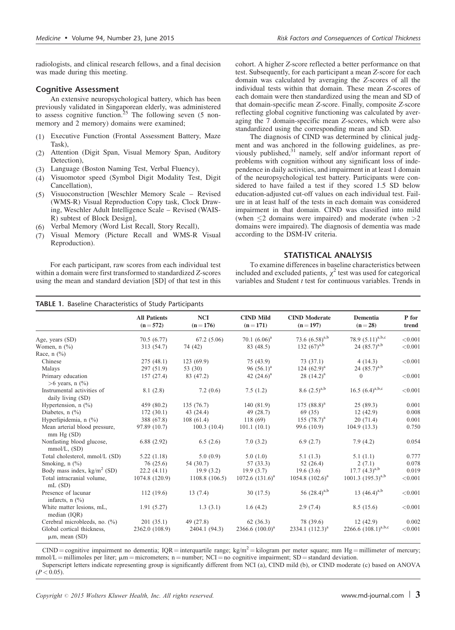<span id="page-2-0"></span>radiologists, and clinical research fellows, and a final decision was made during this meeting.

### Cognitive Assessment

An extensive neuropsychological battery, which has been previously validated in Singaporean elderly, was administered to assess cognitive function.<sup>[25](#page-7-0)</sup> The following seven (5 nonmemory and 2 memory) domains were examined;

- (1) Executive Function (Frontal Assessment Battery, Maze Task),
- (2) Attention (Digit Span, Visual Memory Span, Auditory Detection),
- (3) Language (Boston Naming Test, Verbal Fluency),
- (4) Visuomotor speed (Symbol Digit Modality Test, Digit Cancellation),
- (5) Visuoconstruction [Weschler Memory Scale Revised (WMS-R) Visual Reproduction Copy task, Clock Drawing, Weschler Adult Intelligence Scale – Revised (WAIS-R) subtest of Block Design],
- (6) Verbal Memory (Word List Recall, Story Recall),
- (7) Visual Memory (Picture Recall and WMS-R Visual Reproduction).

For each participant, raw scores from each individual test within a domain were first transformed to standardized Z-scores using the mean and standard deviation [SD] of that test in this cohort. A higher Z-score reflected a better performance on that test. Subsequently, for each participant a mean Z-score for each domain was calculated by averaging the Z-scores of all the individual tests within that domain. These mean Z-scores of each domain were then standardized using the mean and SD of that domain-specific mean Z-score. Finally, composite Z-score reflecting global cognitive functioning was calculated by averaging the 7 domain-specific mean Z-scores, which were also standardized using the corresponding mean and SD.

The diagnosis of CIND was determined by clinical judgment and was anchored in the following guidelines, as previously published, $31$  namely, self and/or informant report of problems with cognition without any significant loss of independence in daily activities, and impairment in at least 1 domain of the neuropsychological test battery. Participants were considered to have failed a test if they scored 1.5 SD below education-adjusted cut-off values on each individual test. Failure in at least half of the tests in each domain was considered impairment in that domain. CIND was classified into mild (when  $\leq$ 2 domains were impaired) and moderate (when  $>$ 2 domains were impaired). The diagnosis of dementia was made according to the DSM-IV criteria.

# STATISTICAL ANALYSIS

To examine differences in baseline characteristics between included and excluded patients,  $\chi^2$  test was used for categorical variables and Student t test for continuous variables. Trends in

| <b>TABLE 1.</b> Baseline Characteristics of Study Participants |                                  |                           |                                 |                                   |                               |                |
|----------------------------------------------------------------|----------------------------------|---------------------------|---------------------------------|-----------------------------------|-------------------------------|----------------|
|                                                                | <b>All Patients</b><br>$(n=572)$ | <b>NCI</b><br>$(n = 176)$ | <b>CIND Mild</b><br>$(n = 171)$ | <b>CIND</b> Moderate<br>$(n=197)$ | <b>Dementia</b><br>$(n = 28)$ | P for<br>trend |
| Age, years (SD)                                                | 70.5(6.77)                       | 67.2(5.06)                | 70.1 $(6.06)^a$                 | 73.6 $(6.58)^{a,b}$               | 78.9 $(5.11)^{a,b,c}$         | < 0.001        |
| Women, $n$ $(\%)$                                              | 313 (54.7)                       | 74 (42)                   | 83 (48.5)                       | 132 $(67)^{a,b}$                  | 24 $(85.7)^{a,b}$             | < 0.001        |
| Race, $n$ $\left(\frac{9}{0}\right)$                           |                                  |                           |                                 |                                   |                               |                |
| Chinese                                                        | 275(48.1)                        | 123(69.9)                 | 75(43.9)                        | 73(37.1)                          | 4(14.3)                       | < 0.001        |
| Malays                                                         | 297(51.9)                        | 53 (30)                   | 96 $(56.1)^a$                   | 124 $(62.9)^a$                    | 24 $(85.7)^{a,b}$             |                |
| Primary education                                              | 157(27.4)                        | 83 (47.2)                 | 42 $(24.6)^a$                   | 28 $(14.2)^a$                     | $\theta$                      | < 0.001        |
| $>6$ years, n $(\%$ )                                          |                                  |                           |                                 |                                   |                               |                |
| Instrumental activities of                                     | 8.1(2.8)                         | 7.2(0.6)                  | 7.5(1.2)                        | 8.6 $(2.5)^{a,b}$                 | 16.5 $(6.4)^{a,b,c}$          | < 0.001        |
| daily living (SD)                                              |                                  |                           |                                 |                                   |                               |                |
| Hypertension, $n$ (%)                                          | 459 (80.2)                       | 135(76.7)                 | 140 (81.9)                      | 175 $(88.8)^a$                    | 25(89.3)                      | 0.001          |
| Diabetes, $n$ $\left(\frac{9}{0}\right)$                       | 172(30.1)                        | 43(24.4)                  | 49(28.7)                        | 69 (35)                           | 12(42.9)                      | 0.008          |
| Hyperlipidemia, n (%)                                          | 388 (67.8)                       | 108(61.4)                 | 118(69)                         | 155 $(78.7)^a$                    | 20(71.4)                      | 0.001          |
| Mean arterial blood pressure,<br>$mm$ Hg $(SD)$                | 97.89 (10.7)                     | 100.3(10.4)               | 101.1(10.1)                     | 99.6 (10.9)                       | 104.9(13.3)                   | 0.750          |
| Nonfasting blood glucose,<br>mmol/L, (SD)                      | 6.88(2.92)                       | 6.5(2.6)                  | 7.0(3.2)                        | 6.9(2.7)                          | 7.9(4.2)                      | 0.054          |
| Total cholesterol, mmol/L (SD)                                 | 5.22(1.18)                       | 5.0(0.9)                  | 5.0(1.0)                        | 5.1(1.3)                          | 5.1(1.1)                      | 0.777          |
| Smoking, $n$ $(\%)$                                            | 76(25.6)                         | 54 (30.7)                 | 57(33.3)                        | 52 $(26.4)$                       | 2(7.1)                        | 0.078          |
| Body mass index, $\text{kg/m}^2$ (SD)                          | 22.2(4.11)                       | 19.9(3.2)                 | 19.9(3.7)                       | 19.6(3.6)                         | $17.7 (4.3)^{a,b}$            | 0.019          |
| Total intracranial volume,<br>mL(SD)                           | 1074.8(120.9)                    | 1108.8(106.5)             | $1072.6$ $(131.6)^a$            | $1054.8$ $(102.6)^a$              | 1001.3 $(195.3)^{a,b}$        | < 0.001        |
| Presence of lacunar<br>infarcts, $n$ $(\%)$                    | 112(19.6)                        | 13(7.4)                   | 30(17.5)                        | 56 $(28.4)^{a,b}$                 | 13 $(46.4)^{a,b}$             | < 0.001        |
| White matter lesions, mL,<br>median (IOR)                      | 1.91(5.27)                       | 1.3(3.1)                  | 1.6(4.2)                        | 2.9(7.4)                          | 8.5(15.6)                     | < 0.001        |
| Cerebral microbleeds, no. (%)                                  | 201(35.1)                        | 49 (27.8)                 | 62(36.3)                        | 78 (39.6)                         | 12(42.9)                      | 0.002          |
| Global cortical thickness,<br>$\mu$ m, mean (SD)               | 2362.0 (108.9)                   | 2404.1 (94.3)             | $2366.6 (100.0)^a$              | $2334.1 (112.3)^{a}$              | 2266.6 $(108.1)^{a,b,c}$      | < 0.001        |

 $CIND =$  cognitive impairment no dementia; IQR = interquartile range; kg/m<sup>2</sup> = kilogram per meter square; mm Hg = millimeter of mercury;  $mmol/L = millimoles$  per liter;  $\mu m = micrometers$ ; n = number; NCI = no cognitive impairment; SD = standard deviation.

Superscript letters indicate representing group is significantly different from NCI (a), CIND mild (b), or CIND moderate (c) based on ANOVA  $(P < 0.05)$ .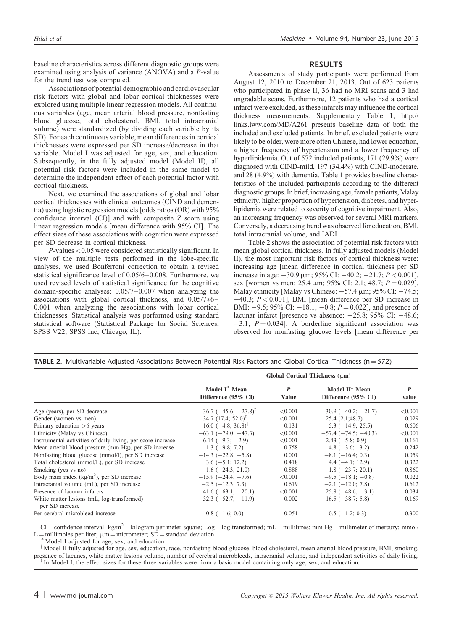baseline characteristics across different diagnostic groups were examined using analysis of variance (ANOVA) and a P-value for the trend test was computed.

Associations of potential demographic and cardiovascular risk factors with global and lobar cortical thicknesses were explored using multiple linear regression models. All continuous variables (age, mean arterial blood pressure, nonfasting blood glucose, total cholesterol, BMI, total intracranial volume) were standardized (by dividing each variable by its SD). For each continuous variable, mean differences in cortical thicknesses were expressed per SD increase/decrease in that variable. Model I was adjusted for age, sex, and education. Subsequently, in the fully adjusted model (Model II), all potential risk factors were included in the same model to determine the independent effect of each potential factor with cortical thickness.

Next, we examined the associations of global and lobar cortical thicknesses with clinical outcomes (CIND and dementia) using logistic regression models [odds ratios (OR) with 95% confidence interval (CI)] and with composite Z score using linear regression models [mean difference with 95% CI]. The effect sizes of these associations with cognition were expressed per SD decrease in cortical thickness.

P-values <0.05 were considered statistically significant. In view of the multiple tests performed in the lobe-specific analyses, we used Bonferroni correction to obtain a revised statistical significance level of 0.05/6–0.008. Furthermore, we used revised levels of statistical significance for the cognitive domain-specific analyses: 0.05/7–0.007 when analyzing the associations with global cortical thickness, and  $0.05/7*6-$ 0.001 when analyzing the associations with lobar cortical thicknesses. Statistical analysis was performed using standard statistical software (Statistical Package for Social Sciences, SPSS V22, SPSS Inc, Chicago, IL).

# RESULTS

Assessments of study participants were performed from August 12, 2010 to December 21, 2013. Out of 623 patients who participated in phase II, 36 had no MRI scans and 3 had ungradable scans. Furthermore, 12 patients who had a cortical infarct were excluded, as these infarcts may influence the cortical thickness measurements. Supplementary Table 1, [http://](http://links.lww.com/MD/A261) [links.lww.com/MD/A261](http://links.lww.com/MD/A261) presents baseline data of both the included and excluded patients. In brief, excluded patients were likely to be older, were more often Chinese, had lower education, a higher frequency of hypertension and a lower frequency of hyperlipidemia. Out of 572 included patients, 171 (29.9%) were diagnosed with CIND-mild, 197 (34.4%) with CIND-moderate, and 28 (4.9%) with dementia. [Table 1](#page-2-0) provides baseline characteristics of the included participants according to the different diagnostic groups. In brief, increasing age, female patients, Malay ethnicity, higher proportion of hypertension, diabetes, and hyperlipidemia were related to severity of cognitive impairment. Also, an increasing frequency was observed for several MRI markers. Conversely, a decreasing trend was observed for education, BMI, total intracranial volume, and IADL.

Table 2 shows the association of potential risk factors with mean global cortical thickness. In fully adjusted models (Model II), the most important risk factors of cortical thickness were: increasing age [mean difference in cortical thickness per SD increase in age:  $-30.9 \,\mu m$ ; 95% CI:  $-40.2$ ;  $-21.7$ ;  $P < 0.001$ ], sex [women vs men: 25.4  $\mu$ m; 95% CI: 2.1; 48.7; P = 0.029], Malay ethnicity [Malay vs Chinese:  $-57.4 \,\mu m$ ; 95% CI:  $-74.5$ ;  $-40.3$ ;  $P < 0.001$ ], BMI [mean difference per SD increase in BMI:  $-9.5$ ; 95% CI:  $-18.1$ ;  $-0.8$ ;  $P = 0.022$ ], and presence of lacunar infarct [presence vs absence:  $-25.8$ ; 95% CI:  $-48.6$ ;  $-3.1$ ;  $P = 0.034$ ]. A borderline significant association was observed for nonfasting glucose levels [mean difference per

|                                                               |                                                             |                                  | Global Cortical Thickness $(\mu m)$               |            |
|---------------------------------------------------------------|-------------------------------------------------------------|----------------------------------|---------------------------------------------------|------------|
|                                                               | Model I <sup>*</sup> Mean<br>Difference $(95\% \text{ CI})$ | $\boldsymbol{P}$<br><b>Value</b> | Model II <sup>†</sup> Mean<br>Difference (95% CI) | P<br>value |
| Age (years), per SD decrease                                  | $-36.7$ ( $-45.6$ ; $-27.8$ ) <sup>T</sup>                  | < 0.001                          | $-30.9$ ( $-40.2$ ; $-21.7$ )                     | ${<}0.001$ |
| Gender (women vs men)                                         | 34.7 $(17.4; 52.0)^{\frac{1}{4}}$                           | < 0.001                          | 25.4(2.1;48.7)                                    | 0.029      |
| Primary education $>6$ years                                  | $16.0$ (-4.8; 36.8) <sup>T</sup>                            | 0.131                            | $5.3$ ( $-14.9$ ; 25.5)                           | 0.606      |
| Ethnicity (Malay vs Chinese)                                  | $-63.1$ ( $-79.0$ ; $-47.3$ )                               | < 0.001                          | $-57.4$ ( $-74.5$ ; $-40.3$ )                     | < 0.001    |
| Instrumental activities of daily living, per score increase   | $-6.14(-9.3; -2.9)$                                         | < 0.001                          | $-2.43(-5.8; 0.9)$                                | 0.161      |
| Mean arterial blood pressure (mm Hg), per SD increase         | $-1.3$ ( $-9.8$ ; 7.2)                                      | 0.758                            | 4.8 $(-3.6; 13.2)$                                | 0.242      |
| Nonfasting blood glucose (mmol/l), per SD increase            | $-14.3$ ( $-22.8$ ; $-5.8$ )                                | 0.001                            | $-8.1$ ( $-16.4$ ; 0.3)                           | 0.059      |
| Total cholesterol (mmol/L), per SD increase                   | $3.6(-5.1; 12.2)$                                           | 0.418                            | $4.4(-4.1; 12.9)$                                 | 0.322      |
| Smoking (yes vs no)                                           | $-1.6$ ( $-24.3$ ; 21.0)                                    | 0.888                            | $-1.8$ ( $-23.7$ ; 20.1)                          | 0.860      |
| Body mass index $(kg/m2)$ , per SD increase                   | $-15.9$ ( $-24.4$ ; $-7.6$ )                                | ${<}0.001$                       | $-9.5$ ( $-18.1$ ; $-0.8$ )                       | 0.022      |
| Intracranial volume (mL), per SD increase                     | $-2.5$ ( $-12.3$ ; 7.3)                                     | 0.619                            | $-2.1$ ( $-12.0$ ; 7.8)                           | 0.612      |
| Presence of lacunar infarcts                                  | $-41.6$ ( $-63.1$ ; $-20.1$ )                               | ${<}0.001$                       | $-25.8$ ( $-48.6$ ; $-3.1$ )                      | 0.034      |
| White matter lesions (mL, log-transformed)<br>per SD increase | $-32.3$ ( $-52.7$ ; $-11.9$ )                               | 0.002                            | $-16.5$ ( $-38.7$ ; 5.8)                          | 0.169      |
| Per cerebral microbleed increase                              | $-0.8$ ( $-1.6$ ; 0.0)                                      | 0.051                            | $-0.5$ ( $-1.2$ ; 0.3)                            | 0.300      |

|  | TABLE 2. Multivariable Adjusted Associations Between Potential Risk Factors and Global Cortical Thickness ( $n = 572$ ) |  |  |  |  |  |  |  |
|--|-------------------------------------------------------------------------------------------------------------------------|--|--|--|--|--|--|--|
|--|-------------------------------------------------------------------------------------------------------------------------|--|--|--|--|--|--|--|

CI = confidence interval; kg/m<sup>2</sup> = kilogram per meter square; Log = log transformed; mL = millilitres; mm Hg = millimeter of mercury; mmol/

L = millimoles per liter;  $\mu$ m = micrometer; SD = standard deviation.<br>
\* Model I adjusted for age, sex, and education.<br>
† Model II fully adjusted for age, sex, education, race, nonfasting blood glucose, blood cholesterol presence of lacunes, white matter lesions volume, number of cerebral microbleeds, intracranial volume, and independent activities of daily living. In Model I, the effect sizes for these three variables were from a basic model containing only age, sex, and education.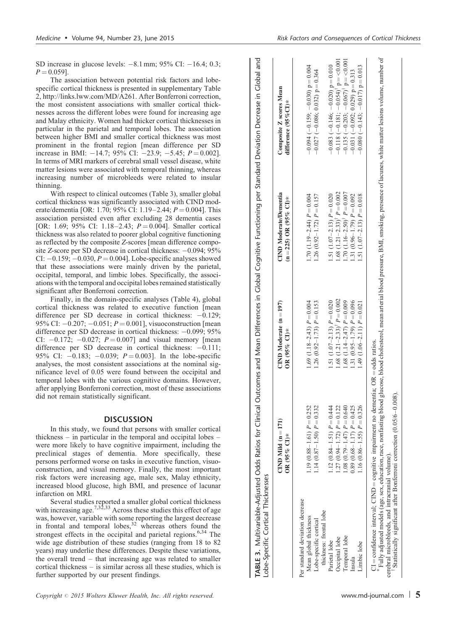SD increase in glucose levels:  $-8.1$  mm; 95% CI:  $-16.4$ ; 0.3;  $P = 0.0591$ .

The association between potential risk factors and lobespecific cortical thickness is presented in supplementary Table 2,<http://links.lww.com/MD/A261>. After Bonferroni correction, the most consistent associations with smaller cortical thicknesses across the different lobes were found for increasing age and Malay ethnicity. Women had thicker cortical thicknesses in particular in the parietal and temporal lobes. The association between higher BMI and smaller cortical thickness was most prominent in the frontal region [mean difference per SD increase in BMI:  $-14.7$ ; 95% CI:  $-23.9$ ;  $-5.45$ ;  $P = 0.002$ ]. In terms of MRI markers of cerebral small vessel disease, white matter lesions were associated with temporal thinning, whereas increasing number of microbleeds were related to insular thinning.

With respect to clinical outcomes (Table 3), smaller global cortical thickness was significantly associated with CIND moderate/dementia [OR: 1.70; 95% CI: 1.19–2.44;  $P = 0.004$ ]. This association persisted even after excluding 28 dementia cases [OR: 1.69; 95% CI: 1.18–2.43;  $P = 0.004$ ]. Smaller cortical thickness was also related to poorer global cognitive functioning as reflected by the composite Z-scores [mean difference composite Z-score per SD decrease in cortical thickness:  $-0.094$ ;  $95\%$ CI:  $-0.159$ ;  $-0.030$ ,  $P = 0.004$ ]. Lobe-specific analyses showed that these associations were mainly driven by the parietal, occipital, temporal, and limbic lobes. Specifically, the associations with the temporal and occipital lobes remained statistically significant after Bonferroni correction.

Finally, in the domain-specific analyses ([Table 4\)](#page-5-0), global cortical thickness was related to executive function [mean difference per SD decrease in cortical thickness:  $-0.129$ ; 95% CI:  $-0.207$ ;  $-0.051$ ;  $P = 0.001$ ], visuoconstruction [mean] difference per SD decrease in cortical thickness:  $-0.099$ ;  $95\%$ CI:  $-0.172$ ;  $-0.027$ ;  $P = 0.007$ ] and visual memory [mean difference per SD decrease in cortical thickness:  $-0.111$ ; 95% CI:  $-0.183$ ;  $-0.039$ ;  $P = 0.003$ ]. In the lobe-specific analyses, the most consistent associations at the nominal significance level of 0.05 were found between the occipital and temporal lobes with the various cognitive domains. However, after applying Bonferroni correction, most of these associations did not remain statistically significant.

#### **DISCUSSION**

In this study, we found that persons with smaller cortical thickness – in particular in the temporal and occipital lobes – were more likely to have cognitive impairment, including the preclinical stages of dementia. More specifically, these persons performed worse on tasks in executive function, visuoconstruction, and visual memory. Finally, the most important risk factors were increasing age, male sex, Malay ethnicity, increased blood glucose, high BMI, and presence of lacunar infarction on MRI.

Several studies reported a smaller global cortical thickness<br>with increasing age.<sup>[7,32,33](#page-6-0)</sup> Across these studies this effect of age was, however, variable with some reporting the largest decrease in frontal and temporal lobes,<sup>[32](#page-7-0)</sup> whereas others found the strongest effects in the occipital and parietal regions.<sup>[6,34](#page-6-0)</sup> The wide age distribution of these studies (ranging from 18 to 82 years) may underlie these differences. Despite these variations, the overall trend – that increasing age was related to smaller cortical thickness – is similar across all these studies, which is further supported by our present findings.

ರ  $\blacksquare$   $\mathbf{I}$ 

 $\pm$ 

 $\mathbf{L}$ 

| obe-Specific Cortical Thicknesses               |                                                                                            |                                                      |                                                           |                                                                                                                                                                                                        |
|-------------------------------------------------|--------------------------------------------------------------------------------------------|------------------------------------------------------|-----------------------------------------------------------|--------------------------------------------------------------------------------------------------------------------------------------------------------------------------------------------------------|
|                                                 | CIND Mild $(n = 171)$<br>OR $(95\% \text{ Cl})*$                                           | CIND Moderate $(n = 197)$<br>OR $(95\% \text{ Cl})*$ | <b>CIND Moderate/Dementia</b><br>$(n = 225)$ OR (95% Cl)* | Composite Z scores Mean<br>difference (95%CI)*                                                                                                                                                         |
| Per standard deviation decrease                 |                                                                                            |                                                      |                                                           |                                                                                                                                                                                                        |
| Mean global thickness                           | $1.19$ (0.88 – 1.61) $P = 0.252$                                                           | 1.69 $(1.18 - 2.43) P = 0.004$                       | $1.70(1.19 - 2.44) P = 0.004$                             | $-0.094$ ( $-0.159$ ; $-0.030$ ) $p = 0.004$                                                                                                                                                           |
| Lobe-specific cortical                          | $1.14$ (0.87 – 1.50) $P = 0.332$                                                           | $1.26(0.92 - 1.73) P = 0.153$                        | $1.26$ (0.92 – 1.72) $P = 0.157$                          | $-0.027$ (-0.086; 0.032) $p = 0.364$                                                                                                                                                                   |
| thickness: frontal lobe                         |                                                                                            |                                                      |                                                           |                                                                                                                                                                                                        |
| Parietal lobe                                   | $.12(0.84 - 1.51) P = 0.444$                                                               | 1.51 $(1.07-2.13) P = 0.020$                         | 1.51 $(1.07-2.13) P = 0.020$                              | $-0.083$ ( $-0.146$ ; $-0.020$ ) p $= 0.010$                                                                                                                                                           |
| Occipital lobe                                  | $1.27(0.94 - 1.72) P = 0.122$                                                              | $1.68$ $(1.21 - 2.33)^T$ $P = 0.002$                 | $1.68$ $(1.21 - 2.33)^T$ $P = 0.002$                      | $-0.118 (-0.181; -0.054)^{r} p = 0.001$                                                                                                                                                                |
| Temporal lobe                                   | $.08(0.79 - 1.47) P = 0.640$                                                               | 1.68 $(1.14 - 2.47) P = 0.009$                       | $1.70$ $(1.16-2.50)$ <sup>T</sup> $P = 0.007$             | $-0.135$ $(-0.203; -0.067)^{T}$ $p = < 0.001$                                                                                                                                                          |
| Insula                                          | $0.89$ $(0.68 - 1.17)$ $P = 0.425$                                                         | $1.31(0.95 - 1.79) P = 0.096$                        | $1.31(0.96 - 1.79) P = 0.092$                             | $-0.031(-0.092; 0.029)$ p = 0.313                                                                                                                                                                      |
| Limbic lobe                                     | $1.16$ (0.86 – 1.55) $P = 0.326$                                                           | $1.49(1.06 - 2.11) P = 0.021$                        | $1.51(1.07-2.13) P = 0.018$                               | $-0.080$ $(-0.143; -0.017)$ p $= 0.013$                                                                                                                                                                |
|                                                 | $CI = confidence$ interval; $CIND = cognitive$ impairment no dementia; $OR = odds$ ratios. |                                                      |                                                           |                                                                                                                                                                                                        |
| cerebral microbleeds, and intracranial volume). |                                                                                            |                                                      |                                                           | Fully adjusted models (age, sex, education, race, nonfasting blood glucose, blood cholesterol, mean arterial blood pressure, BMI, smoking, presence of lacunes, white matter lesions volume, number of |
|                                                 | Statistically significant after Bonferroni correction (0.05/6-0.008).                      |                                                      |                                                           |                                                                                                                                                                                                        |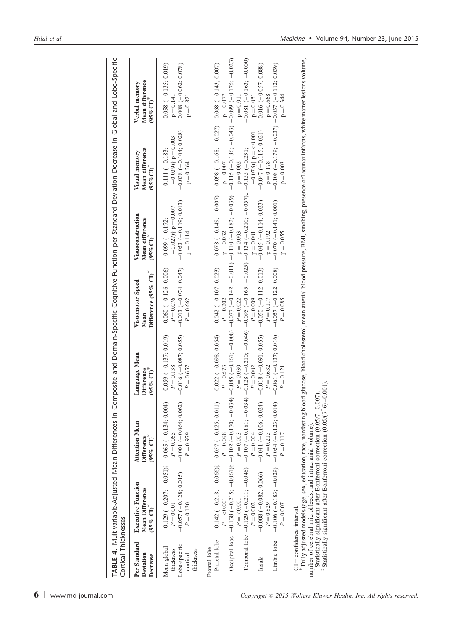<span id="page-5-0"></span>

| Cortical Thicknesses                                               |                                                                       | TABLE 4. Multivariable-Adjusted Mean Differences in Composite and Domain-Specific Cognitive Function per Standard Deviation Decrease in Global and Lobe-Specific                                                                                                                                                                                          |                                                                                  |                                                                                  |                                                                                                            |                                                                                       |                                                                                  |
|--------------------------------------------------------------------|-----------------------------------------------------------------------|-----------------------------------------------------------------------------------------------------------------------------------------------------------------------------------------------------------------------------------------------------------------------------------------------------------------------------------------------------------|----------------------------------------------------------------------------------|----------------------------------------------------------------------------------|------------------------------------------------------------------------------------------------------------|---------------------------------------------------------------------------------------|----------------------------------------------------------------------------------|
| Per Standard<br>Deviation<br>Decrease                              | <b>Executive Function</b><br>Mean Difference<br>(95% CI) <sup>*</sup> | <b>Attention Mear</b><br><b>Difference</b><br>$(95% \text{ Cl})$                                                                                                                                                                                                                                                                                          | Language Mean<br>$(95\%\mathrm{Cl})^*$<br><b>Difference</b>                      | Difference (95% $CD^*$<br>Visuomotor Speed<br>Mean                               | Visuoconstruction<br>Mean difference<br>$(95\%$ CI) <sup>*</sup>                                           | Mean difference<br>Visual memory<br>$95\%\mathrm{CD}^{*}$                             | Mean difference<br>Verbal memory<br>$\left(95\%\textrm{CD}\right)^{*}$           |
| Lobe-specific<br>Mean global<br>thickness<br>thickness<br>cortical | $-0.057(-0.128; 0.015)$<br>$P = 0.001$<br>$P = 0.120$                 | $-0.129(-0.207; -0.051)^{+} -0.065(-0.134; 0.004)$<br>$-0.001(-0.064; 0.062)$<br>$P = 0.065$<br>$P = 0.979$                                                                                                                                                                                                                                               | $-0.059(-0.137; 0.019)$<br>$-0.016(-0.087; 0.055)$<br>$P = 0.138$<br>$P = 0.657$ | $-0.060(-0.126; 0.006)$<br>$-0.013(-0.074; 0.047)$<br>$P = 0.076$<br>$P = 0.662$ | $-0.053(-0.119; 0.013)$<br>$-0.027$ )† $p = 0.007$<br>$-0.099(-0.172;$<br>$p = 0.114$                      | $-0.038(-0.104; 0.028)$<br>$-0.039$ j† $p = 0.003$<br>$-0.111(-0.183)$<br>$p = 0.264$ | $-0.058(-0.135; 0.019)$<br>$0.008 (-0.062; 0.078)$<br>$p = 0.141$<br>$p = 0.821$ |
| Parietal lobe<br>Frontal lobe                                      | $P = 60.001$                                                          | $-0.142$ $(-0.218; -0.066)$ ; $-0.057$ $(-0.125; 0.011)$ $-0.022$ $(-0.098; 0.054)$ $-0.042$ $(-0.107; 0.023)$<br>$P = <0.01$<br>$P = 0.202$<br>$P = 0.003$                                                                                                                                                                                               | $P = 0.030$                                                                      | $P = 0.022$                                                                      | $-0.078$ $(-0.149; -0.007)$ $-0.068$ ; $-0.027$ ) $-0.068$ $(-0.143; 0.007)$<br>$p = 0.032$<br>$p = 0.003$ | $-0.115 (-0.186; -0.043) -0.099 (-0.175; -0.023)$<br>$\rm p=0.007$<br>$p = 0.002$     | $p = 0.077$<br>$p = 0.011$                                                       |
| Insula                                                             | $-0.008 (-0.082; 0.066)$<br>$P = 0.002$<br>$P = 0.829$                | it2(2)- sxr(0- iS1(2)- d1(2)- http://t.com/ c52(3)- syr(0- syr(0- syr(3)- d1(2)- d1(2)- d2(1)- d2(1)- int2(0- d2(1)- int2(0- and papelerly int2(2)- and papelerly<br>$-0.041(-0.106; 0.024)$<br>$P = 0.004$<br>$P = 0.213$                                                                                                                                | $-0.018 (-0.091; 0.055)$<br>$P = 0.002$<br>$P = 0.632$                           | $-0.050(-0.112; 0.013)$<br>$P = 0.009$<br>$P = 0.117$                            | $-0.045(-0.114; 0.023)$<br>$p = 0.192$<br>$p = 0.001$                                                      | $-0.047(-0.115; 0.021)$<br>$-0.078$ ) $\ddagger$ p $=$ <0.001<br>$p = 0.178$          | $-0.081(-0.163; -0.000)$<br>$0.016(-0.057; 0.088)$<br>$p = 0.051$                |
| Limbic lobe                                                        | $-0.106 (-0.183; -0.029) -0.054 (-0.123; 0.014)$<br>$P = 0.007$       | $P = 0.117$                                                                                                                                                                                                                                                                                                                                               | $-0.061(-0.137; 0.016)$<br>$P = 0.121$                                           | $-0.057(-0.122; 0.008)$<br>$P = 0.085$                                           | $-0.070(-0.141; 0.001)$<br>$p = 0.055$                                                                     | $-0.108 (-0.179; -0.037) -0.037 (-0.112; 0.039)$<br>$\rm p=0.003$                     | $p = 0.668$<br>$p = 0.344$                                                       |
| $CI = confidence$ interval.                                        | number of cerebral microbleeds, and intracranial volume).             | Fully adjusted models (age, sex, education, race, nonfasting blood glucose, blood cholesterol, mean arterial blood pressure, BMI, smoking, presence of lacunar infarcts, white matter lesions volume,<br>Statistically significant after Bonferroni correction (0.05/(7 6)-0.001)<br>Statistically significant after Bonferroni correction (0.05/7-0.007) |                                                                                  |                                                                                  |                                                                                                            |                                                                                       |                                                                                  |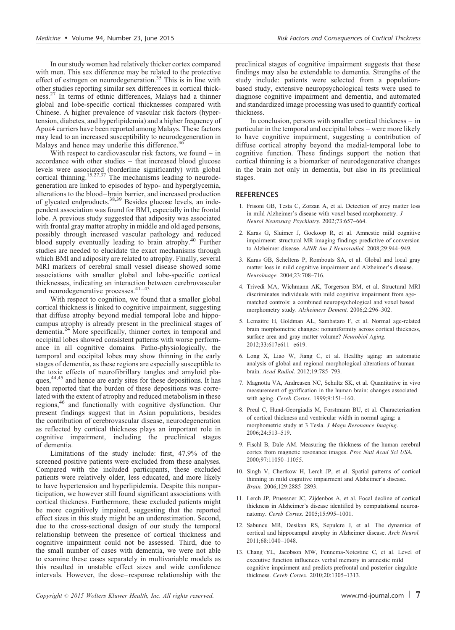<span id="page-6-0"></span>In our study women had relatively thicker cortex compared with men. This sex difference may be related to the protective effect of estrogen on neurodegeneration.<sup>[35](#page-7-0)</sup> This is in line with other studies reporting similar sex differences in cortical thick-ness.<sup>[27](#page-7-0)</sup> In terms of ethnic differences, Malays had a thinner global and lobe-specific cortical thicknesses compared with Chinese. A higher prevalence of vascular risk factors (hypertension, diabetes, and hyperlipidemia) and a higher frequency of Apo*e*4 carriers have been reported among Malays. These factors may lead to an increased susceptibility to neurodegeneration in Malays and hence may underlie this difference.<sup>3</sup>

With respect to cardiovascular risk factors, we found – in accordance with other studies – that increased blood glucose levels were associated (borderline significantly) with global cortical thinning.<sup>[15,27,37](#page-7-0)</sup> The mechanisms leading to neurodegeneration are linked to episodes of hypo- and hyperglycemia, alterations to the blood–brain barrier, and increased production of glycated endproducts.<sup>38,39</sup> Besides glucose levels, an independent association was found for BMI, especially in the frontal lobe. A previous study suggested that adiposity was associated with frontal gray matter atrophy in middle and old aged persons, possibly through increased vascular pathology and reduced blood supply eventually leading to brain atrophy.<sup>[40](#page-7-0)</sup> Further studies are needed to elucidate the exact mechanisms through which BMI and adiposity are related to atrophy. Finally, several MRI markers of cerebral small vessel disease showed some associations with smaller global and lobe-specific cortical thicknesses, indicating an interaction between cerebrovascular and neurodegenerative processes. $41-43$ 

With respect to cognition, we found that a smaller global cortical thickness is linked to cognitive impairment, suggesting that diffuse atrophy beyond medial temporal lobe and hippocampus atrophy is already present in the preclinical stages of dementia.[24](#page-7-0) More specifically, thinner cortex in temporal and occipital lobes showed consistent patterns with worse performance in all cognitive domains. Patho-physiologically, the temporal and occipital lobes may show thinning in the early stages of dementia, as these regions are especially susceptible to the toxic effects of neurofibrillary tangles and amyloid pla-ques,<sup>[44,45](#page-7-0)</sup> and hence are early sites for these depositions. It has been reported that the burden of these depositions was correlated with the extent of atrophy and reduced metabolism in these regions,[46](#page-7-0) and functionally with cognitive dysfunction. Our present findings suggest that in Asian populations, besides the contribution of cerebrovascular disease, neurodegeneration as reflected by cortical thickness plays an important role in cognitive impairment, including the preclinical stages of dementia.

Limitations of the study include: first, 47.9% of the screened positive patients were excluded from these analyses. Compared with the included participants, these excluded patients were relatively older, less educated, and more likely to have hypertension and hyperlipidemia. Despite this nonparticipation, we however still found significant associations with cortical thickness. Furthermore, these excluded patients might be more cognitively impaired, suggesting that the reported effect sizes in this study might be an underestimation. Second, due to the cross-sectional design of our study the temporal relationship between the presence of cortical thickness and cognitive impairment could not be assessed. Third, due to the small number of cases with dementia, we were not able to examine these cases separately in multivariable models as this resulted in unstable effect sizes and wide confidence intervals. However, the dose–response relationship with the

preclinical stages of cognitive impairment suggests that these findings may also be extendable to dementia. Strengths of the study include: patients were selected from a populationbased study, extensive neuropsychological tests were used to diagnose cognitive impairment and dementia, and automated and standardized image processing was used to quantify cortical thickness.

In conclusion, persons with smaller cortical thickness – in particular in the temporal and occipital lobes – were more likely to have cognitive impairment, suggesting a contribution of diffuse cortical atrophy beyond the medial-temporal lobe to cognitive function. These findings support the notion that cortical thinning is a biomarker of neurodegenerative changes in the brain not only in dementia, but also in its preclinical stages.

### **REFERENCES**

- 1. Frisoni GB, Testa C, Zorzan A, et al. Detection of grey matter loss in mild Alzheimer's disease with voxel based morphometry. J Neurol Neurosurg Psychiatry. 2002;73:657–664.
- 2. Karas G, Sluimer J, Goekoop R, et al. Amnestic mild cognitive impairment: structural MR imaging findings predictive of conversion to Alzheimer disease. AJNR Am J Neuroradiol. 2008;29:944–949.
- 3. Karas GB, Scheltens P, Rombouts SA, et al. Global and local gray matter loss in mild cognitive impairment and Alzheimer's disease. Neuroimage. 2004;23:708–716.
- 4. Trivedi MA, Wichmann AK, Torgerson BM, et al. Structural MRI discriminates individuals with mild cognitive impairment from agematched controls: a combined neuropsychological and voxel based morphometry study. Alzheimers Dement. 2006;2:296–302.
- 5. Lemaitre H, Goldman AL, Sambataro F, et al. Normal age-related brain morphometric changes: nonuniformity across cortical thickness, surface area and gray matter volume? Neurobiol Aging. 2012;33:617e611–e619.
- 6. Long X, Liao W, Jiang C, et al. Healthy aging: an automatic analysis of global and regional morphological alterations of human brain. Acad Radiol. 2012;19:785–793.
- 7. Magnotta VA, Andreasen NC, Schultz SK, et al. Quantitative in vivo measurement of gyrification in the human brain: changes associated with aging. Cereb Cortex. 1999;9:151–160.
- 8. Preul C, Hund-Georgiadis M, Forstmann BU, et al. Characterization of cortical thickness and ventricular width in normal aging: a morphometric study at 3 Tesla. J Magn Resonance Imaging. 2006;24:513–519.
- 9. Fischl B, Dale AM. Measuring the thickness of the human cerebral cortex from magnetic resonance images. Proc Natl Acad Sci USA. 2000;97:11050–11055.
- 10. Singh V, Chertkow H, Lerch JP, et al. Spatial patterns of cortical thinning in mild cognitive impairment and Alzheimer's disease. Brain. 2006;129:2885–2893.
- 11. Lerch JP, Pruessner JC, Zijdenbos A, et al. Focal decline of cortical thickness in Alzheimer's disease identified by computational neuroanatomy. Cereb Cortex. 2005;15:995–1001.
- 12. Sabuncu MR, Desikan RS, Sepulcre J, et al. The dynamics of cortical and hippocampal atrophy in Alzheimer disease. Arch Neurol. 2011;68:1040–1048.
- 13. Chang YL, Jacobson MW, Fennema-Notestine C, et al. Level of executive function influences verbal memory in amnestic mild cognitive impairment and predicts prefrontal and posterior cingulate thickness. Cereb Cortex. 2010;20:1305–1313.